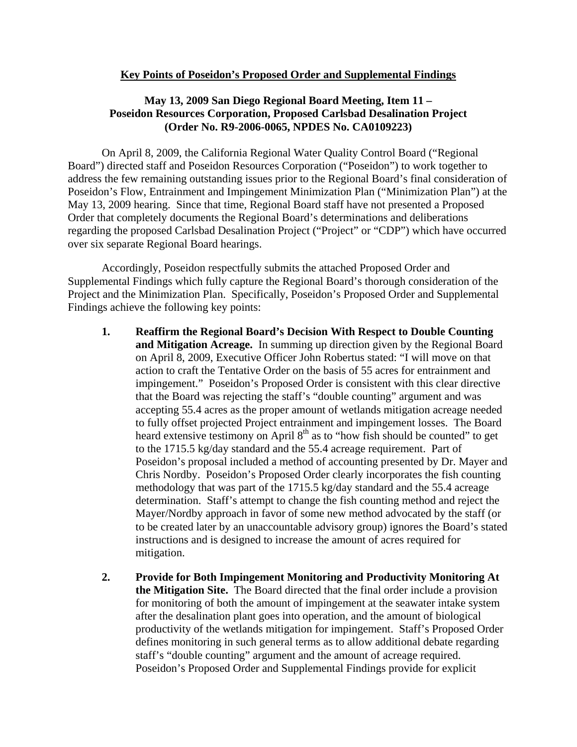## **Key Points of Poseidon's Proposed Order and Supplemental Findings**

## **May 13, 2009 San Diego Regional Board Meeting, Item 11 – Poseidon Resources Corporation, Proposed Carlsbad Desalination Project (Order No. R9-2006-0065, NPDES No. CA0109223)**

On April 8, 2009, the California Regional Water Quality Control Board ("Regional Board") directed staff and Poseidon Resources Corporation ("Poseidon") to work together to address the few remaining outstanding issues prior to the Regional Board's final consideration of Poseidon's Flow, Entrainment and Impingement Minimization Plan ("Minimization Plan") at the May 13, 2009 hearing. Since that time, Regional Board staff have not presented a Proposed Order that completely documents the Regional Board's determinations and deliberations regarding the proposed Carlsbad Desalination Project ("Project" or "CDP") which have occurred over six separate Regional Board hearings.

Accordingly, Poseidon respectfully submits the attached Proposed Order and Supplemental Findings which fully capture the Regional Board's thorough consideration of the Project and the Minimization Plan. Specifically, Poseidon's Proposed Order and Supplemental Findings achieve the following key points:

- **1. Reaffirm the Regional Board's Decision With Respect to Double Counting and Mitigation Acreage.** In summing up direction given by the Regional Board on April 8, 2009, Executive Officer John Robertus stated: "I will move on that action to craft the Tentative Order on the basis of 55 acres for entrainment and impingement."Poseidon's Proposed Order is consistent with this clear directive that the Board was rejecting the staff's "double counting" argument and was accepting 55.4 acres as the proper amount of wetlands mitigation acreage needed to fully offset projected Project entrainment and impingement losses. The Board heard extensive testimony on April 8<sup>th</sup> as to "how fish should be counted" to get to the 1715.5 kg/day standard and the 55.4 acreage requirement. Part of Poseidon's proposal included a method of accounting presented by Dr. Mayer and Chris Nordby. Poseidon's Proposed Order clearly incorporates the fish counting methodology that was part of the 1715.5 kg/day standard and the 55.4 acreage determination. Staff's attempt to change the fish counting method and reject the Mayer/Nordby approach in favor of some new method advocated by the staff (or to be created later by an unaccountable advisory group) ignores the Board's stated instructions and is designed to increase the amount of acres required for mitigation.
- **2. Provide for Both Impingement Monitoring and Productivity Monitoring At the Mitigation Site.** The Board directed that the final order include a provision for monitoring of both the amount of impingement at the seawater intake system after the desalination plant goes into operation, and the amount of biological productivity of the wetlands mitigation for impingement. Staff's Proposed Order defines monitoring in such general terms as to allow additional debate regarding staff's "double counting" argument and the amount of acreage required. Poseidon's Proposed Order and Supplemental Findings provide for explicit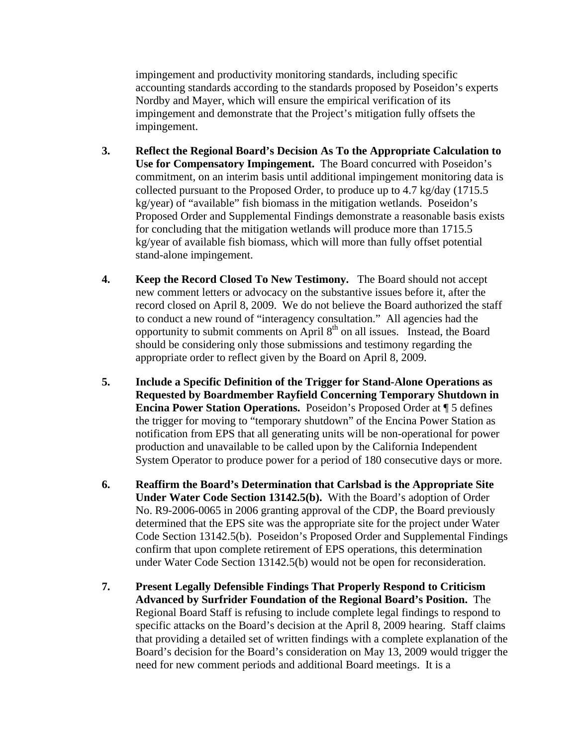impingement and productivity monitoring standards, including specific accounting standards according to the standards proposed by Poseidon's experts Nordby and Mayer, which will ensure the empirical verification of its impingement and demonstrate that the Project's mitigation fully offsets the impingement.

- **3. Reflect the Regional Board's Decision As To the Appropriate Calculation to Use for Compensatory Impingement.** The Board concurred with Poseidon's commitment, on an interim basis until additional impingement monitoring data is collected pursuant to the Proposed Order, to produce up to 4.7 kg/day (1715.5 kg/year) of "available" fish biomass in the mitigation wetlands. Poseidon's Proposed Order and Supplemental Findings demonstrate a reasonable basis exists for concluding that the mitigation wetlands will produce more than 1715.5 kg/year of available fish biomass, which will more than fully offset potential stand-alone impingement.
- **4. Keep the Record Closed To New Testimony.** The Board should not accept new comment letters or advocacy on the substantive issues before it, after the record closed on April 8, 2009. We do not believe the Board authorized the staff to conduct a new round of "interagency consultation." All agencies had the opportunity to submit comments on April 8th on all issues. Instead, the Board should be considering only those submissions and testimony regarding the appropriate order to reflect given by the Board on April 8, 2009.
- **5. Include a Specific Definition of the Trigger for Stand-Alone Operations as Requested by Boardmember Rayfield Concerning Temporary Shutdown in Encina Power Station Operations.** Poseidon's Proposed Order at ¶ 5 defines the trigger for moving to "temporary shutdown" of the Encina Power Station as notification from EPS that all generating units will be non-operational for power production and unavailable to be called upon by the California Independent System Operator to produce power for a period of 180 consecutive days or more.
- **6. Reaffirm the Board's Determination that Carlsbad is the Appropriate Site Under Water Code Section 13142.5(b).** With the Board's adoption of Order No. R9-2006-0065 in 2006 granting approval of the CDP, the Board previously determined that the EPS site was the appropriate site for the project under Water Code Section 13142.5(b). Poseidon's Proposed Order and Supplemental Findings confirm that upon complete retirement of EPS operations, this determination under Water Code Section 13142.5(b) would not be open for reconsideration.
- **7. Present Legally Defensible Findings That Properly Respond to Criticism Advanced by Surfrider Foundation of the Regional Board's Position.** The Regional Board Staff is refusing to include complete legal findings to respond to specific attacks on the Board's decision at the April 8, 2009 hearing. Staff claims that providing a detailed set of written findings with a complete explanation of the Board's decision for the Board's consideration on May 13, 2009 would trigger the need for new comment periods and additional Board meetings. It is a